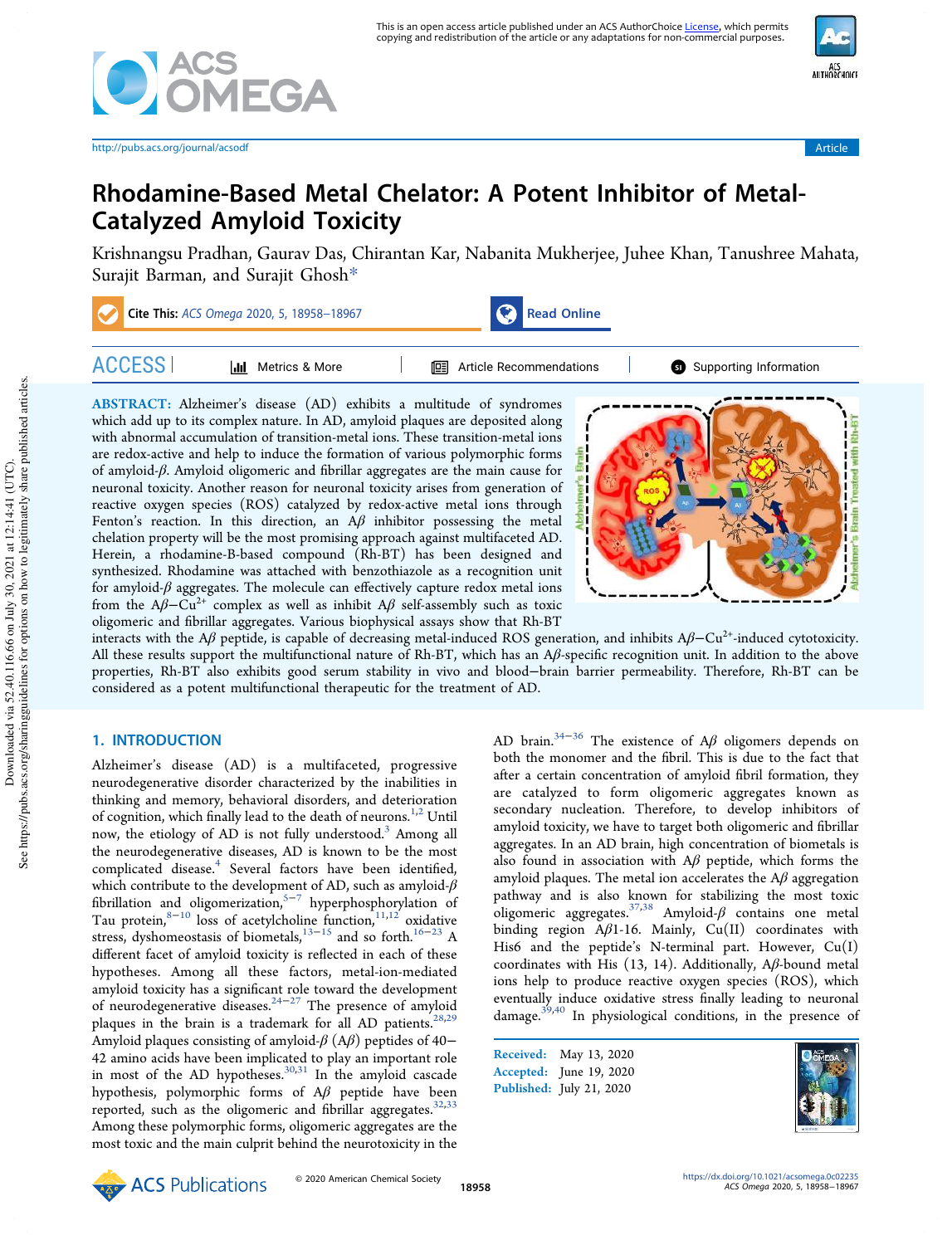



# Rhodamine-Based Metal Chelator: A Potent Inhibitor of Metal-Catalyzed Amyloid Toxicity

Krishnangsu Pradhan, Gaurav Das, Chirantan Kar, Nabanita Mukherjee, Juhee Khan, Tanushree Mahata, Surajit Barman, and Surajit Ghosh\*

| Cite This: ACS Omega 2020, 5, 18958-18967 |                          | <b>Read Online</b> |                              |                        |
|-------------------------------------------|--------------------------|--------------------|------------------------------|------------------------|
|                                           | Metrics & More<br>ا اران |                    | Article Recommendations<br>鸣 | Supporting Information |

ABSTRACT: Alzheimer's disease (AD) exhibits a multitude of syndromes which add up to its complex nature. In AD, amyloid plaques are deposited along with abnormal accumulation of transition-metal ions. These transition-metal ions are redox-active and help to induce the formation of various polymorphic forms of amyloid-β. Amyloid oligomeric and fibrillar aggregates are the main cause for neuronal toxicity. Another reason for neuronal toxicity arises from generation of reactive oxygen species (ROS) catalyzed by redox-active metal ions through Fenton's reaction. In this direction, an  $A\beta$  inhibitor possessing the metal chelation property will be the most promising approach against multifaceted AD. Herein, a rhodamine-B-based compound (Rh-BT) has been designed and synthesized. Rhodamine was attached with benzothiazole as a recognition unit for amyloid- $\beta$  aggregates. The molecule can effectively capture redox metal ions from the  $A\beta$ – $Cu^{2+}$  complex as well as inhibit  $A\beta$  self-assembly such as toxic oligomeric and fibrillar aggregates. Various biophysical assays show that Rh-BT



interacts with the Aβ peptide, is capable of decreasing metal-induced ROS generation, and inhibits  $A\beta$ –Cu<sup>2+</sup>-induced cytotoxicity. All these results support the multifunctional nature of Rh-BT, which has an  $A\beta$ -specific recognition unit. In addition to the above properties, Rh-BT also exhibits good serum stability in vivo and blood−brain barrier permeability. Therefore, Rh-BT can be considered as a potent multifunctional therapeutic for the treatment of AD.

# 1. INTRODUCTION

Alzheimer's disease (AD) is a multifaceted, progressive neurodegenerative disorder characterized by the inabilities in thinking and memory, behavioral disorders, and deterioration of cognition, which finally lead to the death of neurons.<sup>1,2</sup> Until now, the etiology of AD is not fully understood.<sup>3</sup> Among all the neurodegenerative diseases, AD is known to be the most complicated disease.<sup>4</sup> Several factors have been identified, which contribute to the development of AD, such as amyloid- $\beta$ fibrillation and oligomerization,5−<sup>7</sup> hyperphosphorylation of Tau protein, $8-10$  loss of acetylcholine function, $11,12$  oxidative stress, dyshomeostasis of biometals,<sup>13−15</sup> and so forth.<sup>16−23</sup> A different facet of amyloid toxicity is reflected in each of these hypotheses. Among all these factors, metal-ion-mediated amyloid toxicity has a significant role toward the development of neurodegenerative diseases.<sup>24−27</sup> The presence of amyloid plaques in the brain is a trademark for all AD patients.<sup>28,29</sup> Amyloid plaques consisting of amyloid- $\beta$  (A $\beta$ ) peptides of 40− 42 amino acids have been implicated to play an important role in most of the AD hypotheses.<sup>30,31</sup> In the amyloid cascade hypothesis, polymorphic forms of Aβ peptide have been reported, such as the oligomeric and fibrillar aggregates. $32,33$ Among these polymorphic forms, oligomeric aggregates are the most toxic and the main culprit behind the neurotoxicity in the AD brain.<sup>34–36</sup> The existence of A $\beta$  oligomers depends on both the monomer and the fibril. This is due to the fact that after a certain concentration of amyloid fibril formation, they are catalyzed to form oligomeric aggregates known as secondary nucleation. Therefore, to develop inhibitors of amyloid toxicity, we have to target both oligomeric and fibrillar aggregates. In an AD brain, high concentration of biometals is also found in association with  $A\beta$  peptide, which forms the amyloid plaques. The metal ion accelerates the  $A\beta$  aggregation pathway and is also known for stabilizing the most toxic  $\overline{\text{oligomeric}}$  aggregates.<sup>37,38</sup> Amyloid-β contains one metal binding region Aβ1-16. Mainly, Cu(II) coordinates with His6 and the peptide's N-terminal part. However, Cu(I) coordinates with His  $(13, 14)$ . Additionally, A $\beta$ -bound metal ions help to produce reactive oxygen species (ROS), which eventually induce oxidative stress finally leading to neuronal damage.39,40 In physiological conditions, in the presence of

Received: May 13, 2020 Accepted: June 19, 2020 Published: July 21, 2020

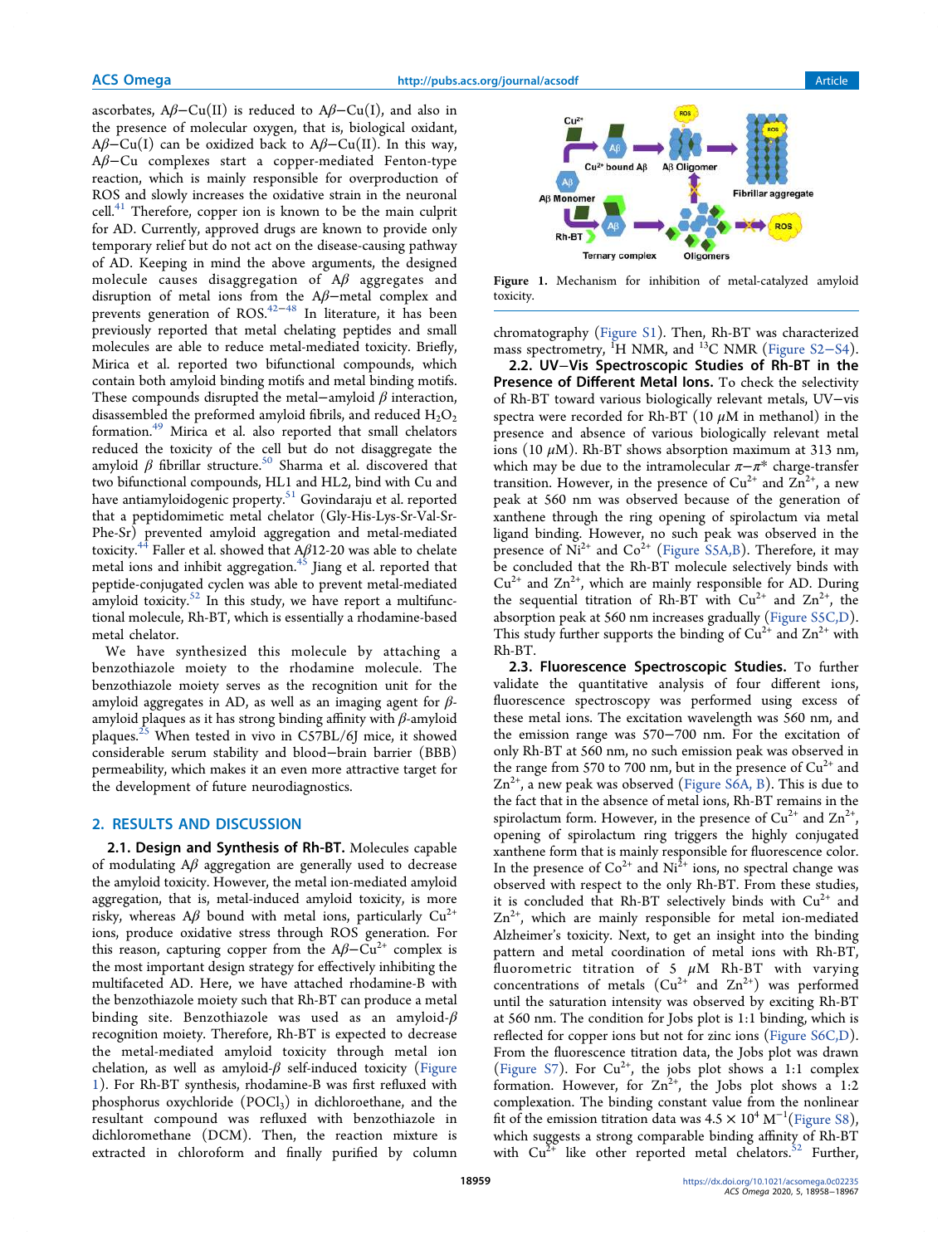ascorbates,  $A\beta$ -Cu(II) is reduced to  $A\beta$ -Cu(I), and also in the presence of molecular oxygen, that is, biological oxidant,  $A\beta$ –Cu(I) can be oxidized back to A $\beta$ –Cu(II). In this way, Aβ−Cu complexes start a copper-mediated Fenton-type reaction, which is mainly responsible for overproduction of ROS and slowly increases the oxidative strain in the neuronal cell. $41$  Therefore, copper ion is known to be the main culprit for AD. Currently, approved drugs are known to provide only temporary relief but do not act on the disease-causing pathway of AD. Keeping in mind the above arguments, the designed molecule causes disaggregation of  $A\beta$  aggregates and disruption of metal ions from the Aβ−metal complex and prevents generation of  $ROS<sup>42-48</sup>$  In literature, it has been previously reported that metal chelating peptides and small molecules are able to reduce metal-mediated toxicity. Briefly, Mirica et al. reported two bifunctional compounds, which contain both amyloid binding motifs and metal binding motifs. These compounds disrupted the metal-amyloid  $\beta$  interaction, disassembled the preformed amyloid fibrils, and reduced  $H_2O_2$ formation.<sup>49</sup> Mirica et al. also reported that small chelators reduced the toxicity of the cell but do not disaggregate the amyloid  $β$  fibrillar structure.<sup>50</sup> Sharma et al. discovered that two bifunctional compounds, HL1 and HL2, bind with Cu and have antiamyloidogenic property.<sup>51</sup> Govindaraju et al. reported that a peptidomimetic metal chelator (Gly-His-Lys-Sr-Val-Sr-Phe-Sr) prevented amyloid aggregation and metal-mediated toxicity.<sup>44</sup> Faller et al. showed that  $A\beta$ 12-20 was able to chelate metal ions and inhibit aggregation.<sup>45</sup> Jiang et al. reported that peptide-conjugated cyclen was able to prevent metal-mediated amyloid toxicity. $52$  In this study, we have report a multifunctional molecule, Rh-BT, which is essentially a rhodamine-based metal chelator.

We have synthesized this molecule by attaching a benzothiazole moiety to the rhodamine molecule. The benzothiazole moiety serves as the recognition unit for the amyloid aggregates in AD, as well as an imaging agent for  $\beta$ amyloid plaques as it has strong binding affinity with  $\beta$ -amyloid plaques.<sup>25</sup> When tested in vivo in C57BL/6J mice, it showed considerable serum stability and blood−brain barrier (BBB) permeability, which makes it an even more attractive target for the development of future neurodiagnostics.

## 2. RESULTS AND DISCUSSION

2.1. Design and Synthesis of Rh-BT. Molecules capable of modulating  $A\beta$  aggregation are generally used to decrease the amyloid toxicity. However, the metal ion-mediated amyloid aggregation, that is, metal-induced amyloid toxicity, is more risky, whereas A $\beta$  bound with metal ions, particularly Cu<sup>2+</sup> ions, produce oxidative stress through ROS generation. For this reason, capturing copper from the  $A\beta$ – $Cu^{2+}$  complex is the most important design strategy for effectively inhibiting the multifaceted AD. Here, we have attached rhodamine-B with the benzothiazole moiety such that Rh-BT can produce a metal binding site. Benzothiazole was used as an amyloid- $\beta$ recognition moiety. Therefore, Rh-BT is expected to decrease the metal-mediated amyloid toxicity through metal ion chelation, as well as amyloid- $\beta$  self-induced toxicity (Figure 1). For Rh-BT synthesis, rhodamine-B was first refluxed with phosphorus oxychloride  $(POCl<sub>3</sub>)$  in dichloroethane, and the resultant compound was refluxed with benzothiazole in dichloromethane (DCM). Then, the reaction mixture is extracted in chloroform and finally purified by column



Figure 1. Mechanism for inhibition of metal-catalyzed amyloid toxicity.

chromatography (Figure S1). Then, Rh-BT was characterized mass spectrometry, <sup>1</sup>H NMR, and <sup>13</sup>C NMR (Figure S2–S4).

2.2. UV−Vis Spectroscopic Studies of Rh-BT in the Presence of Different Metal Ions. To check the selectivity of Rh-BT toward various biologically relevant metals, UV−vis spectra were recorded for Rh-BT (10  $\mu$ M in methanol) in the presence and absence of various biologically relevant metal ions (10  $\mu$ M). Rh-BT shows absorption maximum at 313 nm, which may be due to the intramolecular  $\pi-\pi^*$  charge-transfer transition. However, in the presence of  $Cu^{2+}$  and  $Zn^{2+}$ , a new peak at 560 nm was observed because of the generation of xanthene through the ring opening of spirolactum via metal ligand binding. However, no such peak was observed in the presence of  $Ni^{2+}$  and  $Co^{2+}$  (Figure S5A,B). Therefore, it may be concluded that the Rh-BT molecule selectively binds with  $Cu^{2+}$  and  $Zn^{2+}$ , which are mainly responsible for AD. During the sequential titration of Rh-BT with  $Cu^{2+}$  and  $Zn^{2+}$ , the absorption peak at 560 nm increases gradually (Figure S5C,D). This study further supports the binding of  $Cu^{2+}$  and  $Zn^{2+}$  with Rh-BT.

2.3. Fluorescence Spectroscopic Studies. To further validate the quantitative analysis of four different ions, fluorescence spectroscopy was performed using excess of these metal ions. The excitation wavelength was 560 nm, and the emission range was 570−700 nm. For the excitation of only Rh-BT at 560 nm, no such emission peak was observed in the range from 570 to 700 nm, but in the presence of  $Cu^{2+}$  and  $Zn^{2+}$ , a new peak was observed (Figure S6A, B). This is due to the fact that in the absence of metal ions, Rh-BT remains in the spirolactum form. However, in the presence of  $Cu^{2+}$  and  $Zn^{2+}$ , opening of spirolactum ring triggers the highly conjugated xanthene form that is mainly responsible for fluorescence color. In the presence of  $Co^{2+}$  and  $Ni^{2+}$  ions, no spectral change was observed with respect to the only Rh-BT. From these studies, it is concluded that Rh-BT selectively binds with  $Cu^{2+}$  and  $Zn^{2+}$ , which are mainly responsible for metal ion-mediated Alzheimer's toxicity. Next, to get an insight into the binding pattern and metal coordination of metal ions with Rh-BT, fluorometric titration of 5  $\mu$ M Rh-BT with varying concentrations of metals  $(Cu^{2+}$  and  $Zn^{2+})$  was performed until the saturation intensity was observed by exciting Rh-BT at 560 nm. The condition for Jobs plot is 1:1 binding, which is reflected for copper ions but not for zinc ions (Figure S6C,D). From the fluorescence titration data, the Jobs plot was drawn (Figure S7). For  $Cu^{2+}$ , the jobs plot shows a 1:1 complex formation. However, for  $Zn^{2+}$ , the Jobs plot shows a 1:2 complexation. The binding constant value from the nonlinear fit of the emission titration data was  $4.5 \times 10^4$  M<sup>-1</sup>(Figure S8), which suggests a strong comparable binding affinity of Rh-BT with  $Cu^{2+}$  like other reported metal chelators.<sup>52</sup> Further,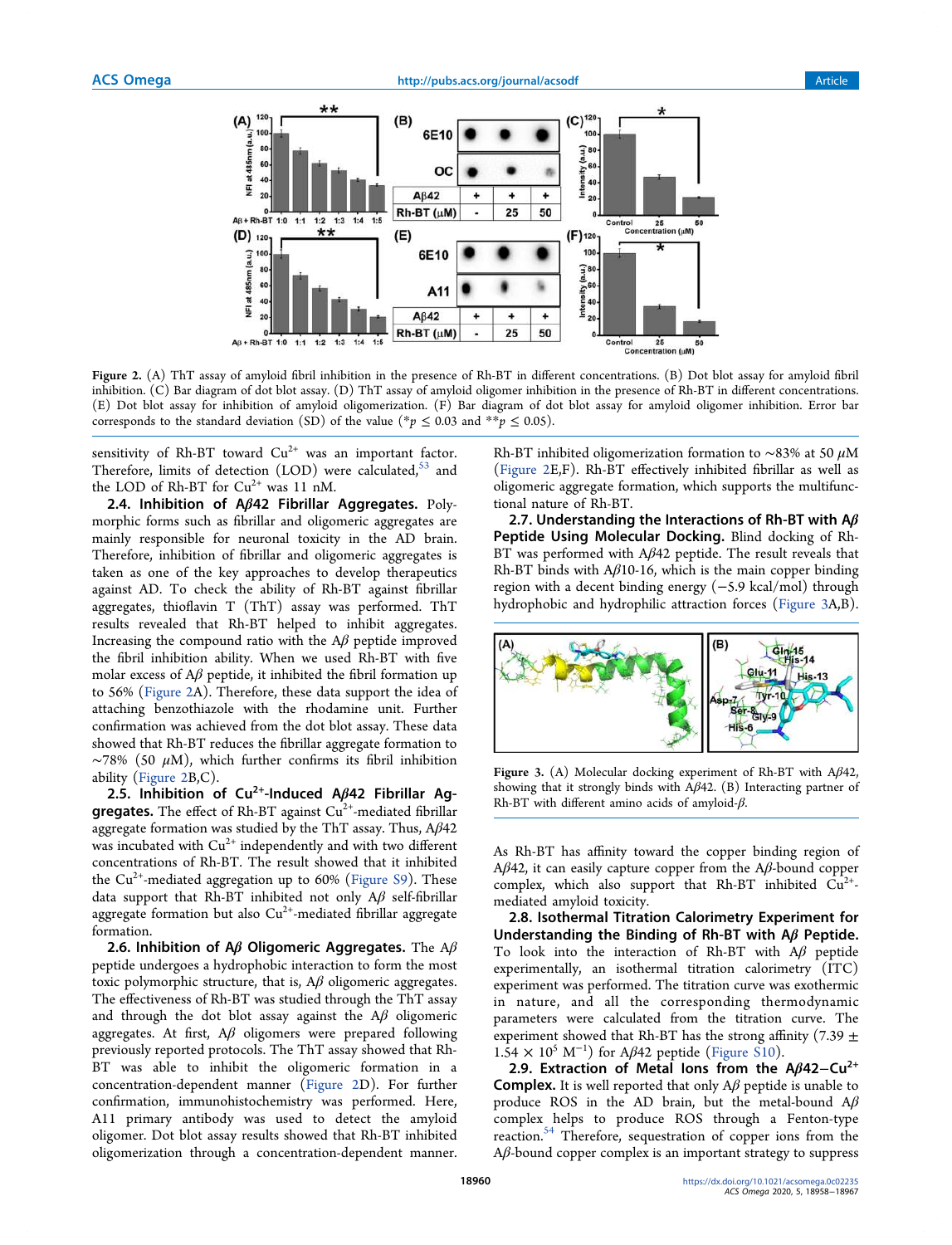

Figure 2. (A) ThT assay of amyloid fibril inhibition in the presence of Rh-BT in different concentrations. (B) Dot blot assay for amyloid fibril inhibition. (C) Bar diagram of dot blot assay. (D) ThT assay of amyloid oligomer inhibition in the presence of Rh-BT in different concentrations. (E) Dot blot assay for inhibition of amyloid oligomerization. (F) Bar diagram of dot blot assay for amyloid oligomer inhibition. Error bar corresponds to the standard deviation (SD) of the value (\*p  $\leq$  0.03 and \*\*p  $\leq$  0.05).

sensitivity of Rh-BT toward  $Cu^{2+}$  was an important factor. Therefore, limits of detection  $(LOD)$  were calculated,  $53$  and the LOD of Rh-BT for  $Cu^{2+}$  was 11 nM.

2.4. Inhibition of  $A\beta$ 42 Fibrillar Aggregates. Polymorphic forms such as fibrillar and oligomeric aggregates are mainly responsible for neuronal toxicity in the AD brain. Therefore, inhibition of fibrillar and oligomeric aggregates is taken as one of the key approaches to develop therapeutics against AD. To check the ability of Rh-BT against fibrillar aggregates, thioflavin T (ThT) assay was performed. ThT results revealed that Rh-BT helped to inhibit aggregates. Increasing the compound ratio with the  $A\beta$  peptide improved the fibril inhibition ability. When we used Rh-BT with five molar excess of  $A\beta$  peptide, it inhibited the fibril formation up to 56% (Figure 2A). Therefore, these data support the idea of attaching benzothiazole with the rhodamine unit. Further confirmation was achieved from the dot blot assay. These data showed that Rh-BT reduces the fibrillar aggregate formation to  $~\sim$ 78% (50 µM), which further confirms its fibril inhibition ability (Figure 2B,C).

2.5. Inhibition of Cu<sup>2+</sup>-Induced A $\beta$ 42 Fibrillar Ag**gregates.** The effect of Rh-BT against  $Cu<sup>2+</sup>$ -mediated fibrillar aggregate formation was studied by the ThT assay. Thus,  $A\beta 42$ was incubated with  $Cu^{2+}$  independently and with two different concentrations of Rh-BT. The result showed that it inhibited the  $Cu^{2+}$ -mediated aggregation up to 60% (Figure S9). These data support that Rh-BT inhibited not only  $A\beta$  self-fibrillar aggregate formation but also  $Cu^{2+}$ -mediated fibrillar aggregate formation.

2.6. Inhibition of A $\beta$  Oligomeric Aggregates. The A $\beta$ peptide undergoes a hydrophobic interaction to form the most toxic polymorphic structure, that is,  $A\beta$  oligomeric aggregates. The effectiveness of Rh-BT was studied through the ThT assay and through the dot blot assay against the  $A\beta$  oligomeric aggregates. At first,  $A\beta$  oligomers were prepared following previously reported protocols. The ThT assay showed that Rh-BT was able to inhibit the oligomeric formation in a concentration-dependent manner (Figure 2D). For further confirmation, immunohistochemistry was performed. Here, A11 primary antibody was used to detect the amyloid oligomer. Dot blot assay results showed that Rh-BT inhibited oligomerization through a concentration-dependent manner.

Rh-BT inhibited oligomerization formation to ~83% at 50  $\mu$ M (Figure 2E,F). Rh-BT effectively inhibited fibrillar as well as oligomeric aggregate formation, which supports the multifunctional nature of Rh-BT.

2.7. Understanding the Interactions of Rh-BT with  $A\beta$ Peptide Using Molecular Docking. Blind docking of Rh-BT was performed with Aβ42 peptide. The result reveals that Rh-BT binds with  $A\beta$ 10-16, which is the main copper binding region with a decent binding energy (−5.9 kcal/mol) through hydrophobic and hydrophilic attraction forces (Figure 3A,B).



Figure 3. (A) Molecular docking experiment of Rh-BT with Aβ42, showing that it strongly binds with  $A\beta$ 42. (B) Interacting partner of Rh-BT with different amino acids of amyloid-β.

As Rh-BT has affinity toward the copper binding region of Aβ42, it can easily capture copper from the Aβ-bound copper complex, which also support that Rh-BT inhibited  $Cu^{2+}$ mediated amyloid toxicity.

2.8. Isothermal Titration Calorimetry Experiment for Understanding the Binding of Rh-BT with  $A\beta$  Peptide. To look into the interaction of Rh-BT with Aβ peptide experimentally, an isothermal titration calorimetry (ITC) experiment was performed. The titration curve was exothermic in nature, and all the corresponding thermodynamic parameters were calculated from the titration curve. The experiment showed that Rh-BT has the strong affinity (7.39  $\pm$  $1.54 \times 10^5$  M<sup>-1</sup>) for A $\beta$ 42 peptide (Figure S10).

2.9. Extraction of Metal Ions from the A $\beta$ 42-Cu<sup>2+</sup> **Complex.** It is well reported that only  $\mathbf{A}\beta$  peptide is unable to produce ROS in the AD brain, but the metal-bound  $A\beta$ complex helps to produce ROS through a Fenton-type reaction.<sup>54</sup> Therefore, sequestration of copper ions from the Aβ-bound copper complex is an important strategy to suppress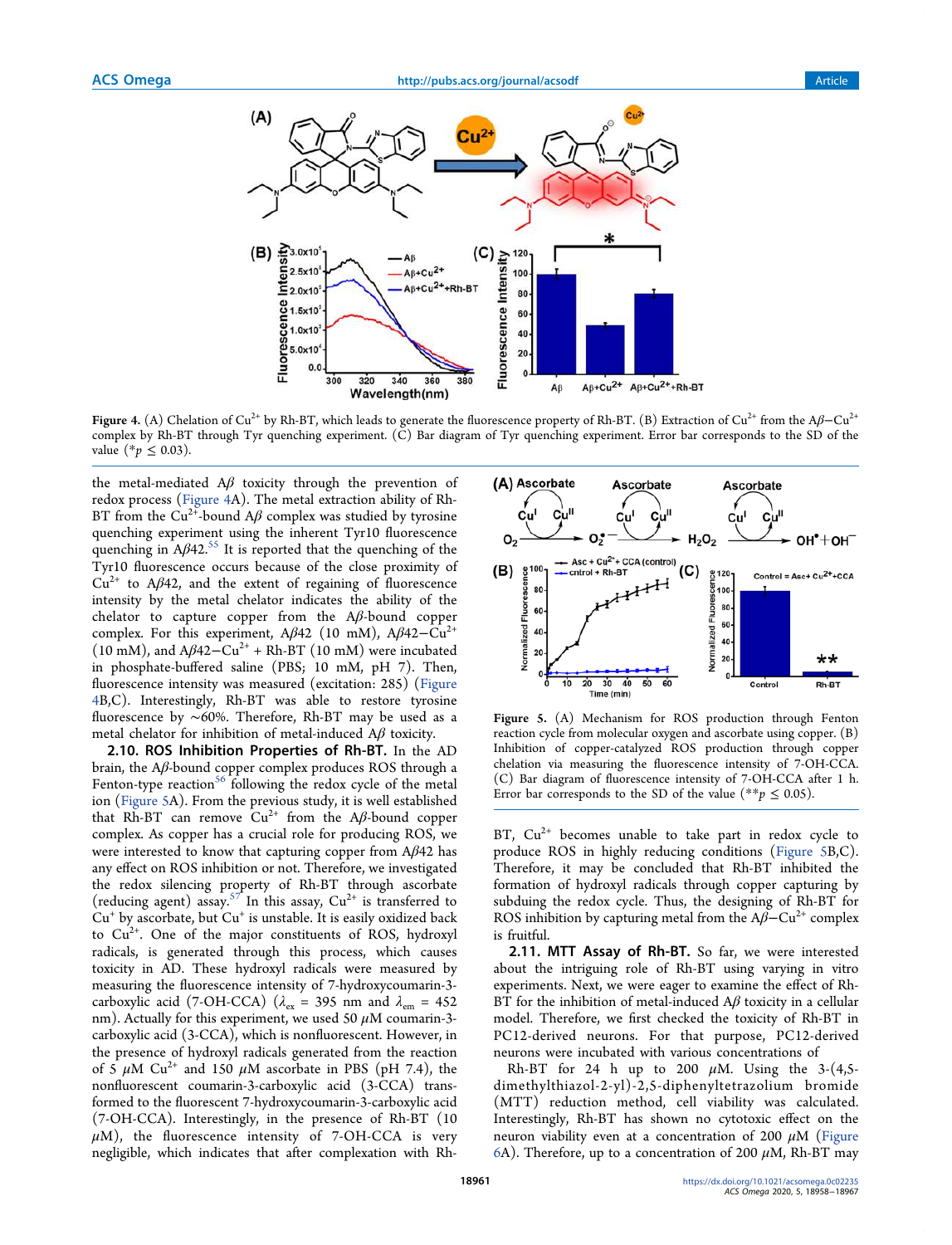

Figure 4. (A) Chelation of Cu<sup>2+</sup> by Rh-BT, which leads to generate the fluorescence property of Rh-BT. (B) Extraction of Cu<sup>2+</sup> from the Aβ–Cu<sup>2+</sup> complex by Rh-BT through Tyr quenching experiment. (C) Bar diagram of Tyr quenching experiment. Error bar corresponds to the SD of the value (\* $p$  ≤ 0.03).

the metal-mediated  $A\beta$  toxicity through the prevention of redox process (Figure 4A). The metal extraction ability of Rh-BT from the Cu<sup>2+</sup>-bound A $\beta$  complex was studied by tyrosine quenching experiment using the inherent Tyr10 fluorescence quenching in  $A\beta 42$ .<sup>55</sup> It is reported that the quenching of the Tyr10 fluorescence occurs because of the close proximity of  $Cu^{2+}$  to A $\beta$ 42, and the extent of regaining of fluorescence intensity by the metal chelator indicates the ability of the chelator to capture copper from the  $A\beta$ -bound copper complex. For this experiment, A $\beta$ 42 (10 mM), A $\beta$ 42–Cu<sup>2+</sup> (10 mM), and  $A\beta$ 42–Cu<sup>2+</sup> + Rh-BT (10 mM) were incubated in phosphate-buffered saline (PBS; 10 mM, pH 7). Then, fluorescence intensity was measured (excitation: 285) (Figure 4B,C). Interestingly, Rh-BT was able to restore tyrosine fluorescence by ∼60%. Therefore, Rh-BT may be used as a metal chelator for inhibition of metal-induced  $A\beta$  toxicity.

2.10. ROS Inhibition Properties of Rh-BT. In the AD brain, the Aβ-bound copper complex produces ROS through a Fenton-type reaction<sup>56</sup> following the redox cycle of the metal ion (Figure 5A). From the previous study, it is well established that Rh-BT can remove  $Cu^{2+}$  from the A $\beta$ -bound copper complex. As copper has a crucial role for producing ROS, we were interested to know that capturing copper from  $A\beta 42$  has any effect on ROS inhibition or not. Therefore, we investigated the redox silencing property of Rh-BT through ascorbate (reducing agent) assay.<sup>57</sup> In this assay,  $Cu^{2+}$  is transferred to Cu<sup>+</sup> by ascorbate, but Cu<sup>+</sup> is unstable. It is easily oxidized back to  $Cu<sup>2+</sup>$ . One of the major constituents of ROS, hydroxyl radicals, is generated through this process, which causes toxicity in AD. These hydroxyl radicals were measured by measuring the fluorescence intensity of 7-hydroxycoumarin-3 carboxylic acid (7-OH-CCA) ( $\lambda_{\text{ex}}$  = 395 nm and  $\lambda_{\text{em}}$  = 452 nm). Actually for this experiment, we used 50  $\mu$ M coumarin-3carboxylic acid (3-CCA), which is nonfluorescent. However, in the presence of hydroxyl radicals generated from the reaction of  $5 \mu$ M Cu<sup>2+</sup> and 150  $\mu$ M ascorbate in PBS (pH 7.4), the nonfluorescent coumarin-3-carboxylic acid (3-CCA) transformed to the fluorescent 7-hydroxycoumarin-3-carboxylic acid (7-OH-CCA). Interestingly, in the presence of Rh-BT (10  $\mu$ M), the fluorescence intensity of 7-OH-CCA is very negligible, which indicates that after complexation with Rh-



Figure 5. (A) Mechanism for ROS production through Fenton reaction cycle from molecular oxygen and ascorbate using copper. (B) Inhibition of copper-catalyzed ROS production through copper chelation via measuring the fluorescence intensity of 7-OH-CCA. (C) Bar diagram of fluorescence intensity of 7-OH-CCA after 1 h. Error bar corresponds to the SD of the value (\*\*p  $\leq$  0.05).

BT,  $Cu^{2+}$  becomes unable to take part in redox cycle to produce ROS in highly reducing conditions (Figure 5B,C). Therefore, it may be concluded that Rh-BT inhibited the formation of hydroxyl radicals through copper capturing by subduing the redox cycle. Thus, the designing of Rh-BT for ROS inhibition by capturing metal from the  $A\beta$ –Cu<sup>2+</sup> complex is fruitful.

2.11. MTT Assay of Rh-BT. So far, we were interested about the intriguing role of Rh-BT using varying in vitro experiments. Next, we were eager to examine the effect of Rh-BT for the inhibition of metal-induced  $A\beta$  toxicity in a cellular model. Therefore, we first checked the toxicity of Rh-BT in PC12-derived neurons. For that purpose, PC12-derived neurons were incubated with various concentrations of

Rh-BT for 24 h up to 200  $\mu$ M. Using the 3-(4,5dimethylthiazol-2-yl)-2,5-diphenyltetrazolium bromide (MTT) reduction method, cell viability was calculated. Interestingly, Rh-BT has shown no cytotoxic effect on the neuron viability even at a concentration of 200  $\mu$ M (Figure 6A). Therefore, up to a concentration of 200  $\mu$ M, Rh-BT may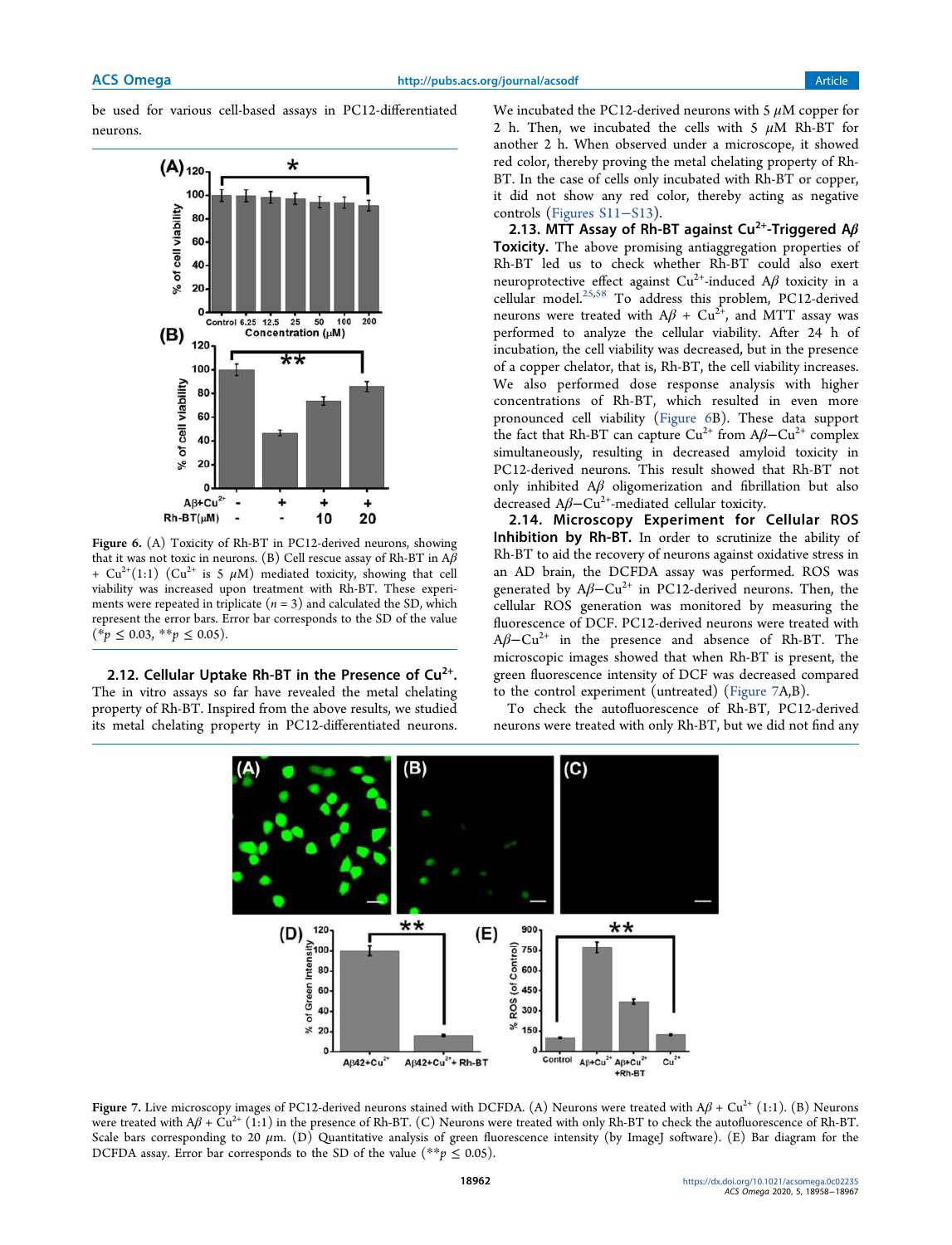be used for various cell-based assays in PC12-differentiated neurons.



Figure 6. (A) Toxicity of Rh-BT in PC12-derived neurons, showing that it was not toxic in neurons. (B) Cell rescue assay of Rh-BT in  $A\beta$ + Cu<sup>2+</sup>(1:1) (Cu<sup>2+</sup> is 5  $\mu$ M) mediated toxicity, showing that cell viability was increased upon treatment with Rh-BT. These experiments were repeated in triplicate ( $n = 3$ ) and calculated the SD, which represent the error bars. Error bar corresponds to the SD of the value  $(*p \le 0.03, **p \le 0.05).$ 

2.12. Cellular Uptake Rh-BT in the Presence of  $Cu<sup>2+</sup>$ . The in vitro assays so far have revealed the metal chelating property of Rh-BT. Inspired from the above results, we studied its metal chelating property in PC12-differentiated neurons. We incubated the PC12-derived neurons with 5  $\mu$ M copper for 2 h. Then, we incubated the cells with 5  $\mu$ M Rh-BT for another 2 h. When observed under a microscope, it showed red color, thereby proving the metal chelating property of Rh-BT. In the case of cells only incubated with Rh-BT or copper, it did not show any red color, thereby acting as negative controls (Figures S11−S13).

2.13. MTT Assay of Rh-BT against Cu<sup>2+</sup>-Triggered A $\beta$ Toxicity. The above promising antiaggregation properties of Rh-BT led us to check whether Rh-BT could also exert neuroprotective effect against  $Cu^{2+}$ -induced A $\beta$  toxicity in a cellular model.25,58 To address this problem, PC12-derived neurons were treated with  $A\beta + Cu^{2+}$ , and MTT assay was performed to analyze the cellular viability. After 24 h of incubation, the cell viability was decreased, but in the presence of a copper chelator, that is, Rh-BT, the cell viability increases. We also performed dose response analysis with higher concentrations of Rh-BT, which resulted in even more pronounced cell viability (Figure 6B). These data support the fact that Rh-BT can capture  $Cu^{2+}$  from A $\beta$ – $Cu^{2+}$  complex simultaneously, resulting in decreased amyloid toxicity in PC12-derived neurons. This result showed that Rh-BT not only inhibited  $A\beta$  oligomerization and fibrillation but also decreased  $A\beta-Cu^{2+}$ -mediated cellular toxicity.

2.14. Microscopy Experiment for Cellular ROS Inhibition by Rh-BT. In order to scrutinize the ability of Rh-BT to aid the recovery of neurons against oxidative stress in an AD brain, the DCFDA assay was performed. ROS was generated by  $A\beta$ -Cu<sup>2+</sup> in PC12-derived neurons. Then, the cellular ROS generation was monitored by measuring the fluorescence of DCF. PC12-derived neurons were treated with  $A\beta$ –Cu<sup>2+</sup> in the presence and absence of Rh-BT. The microscopic images showed that when Rh-BT is present, the green fluorescence intensity of DCF was decreased compared to the control experiment (untreated) (Figure 7A,B).

To check the autofluorescence of Rh-BT, PC12-derived neurons were treated with only Rh-BT, but we did not find any



Figure 7. Live microscopy images of PC12-derived neurons stained with DCFDA. (A) Neurons were treated with  $A\beta + Cu^{2+} (1:1)$ . (B) Neurons were treated with  $A\beta$  + Cu<sup>2+</sup> (1:1) in the presence of Rh-BT. (C) Neurons were treated with only Rh-BT to check the autofluorescence of Rh-BT. Scale bars corresponding to 20  $\mu$ m. (D) Quantitative analysis of green fluorescence intensity (by ImageJ software). (E) Bar diagram for the DCFDA assay. Error bar corresponds to the SD of the value (\*\*p  $\leq$  0.05).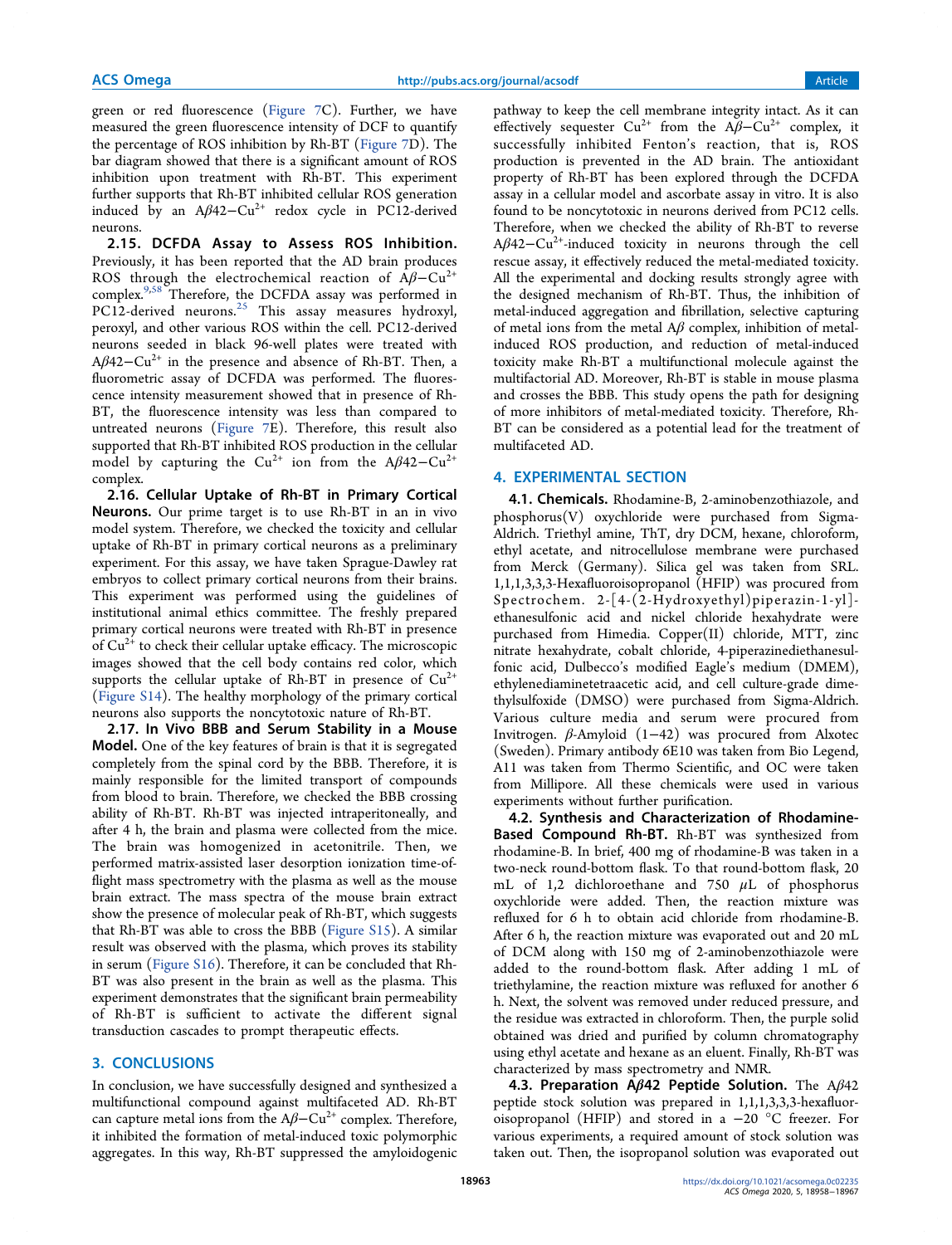green or red fluorescence (Figure 7C). Further, we have measured the green fluorescence intensity of DCF to quantify the percentage of ROS inhibition by Rh-BT (Figure 7D). The bar diagram showed that there is a significant amount of ROS inhibition upon treatment with Rh-BT. This experiment further supports that Rh-BT inhibited cellular ROS generation induced by an  $A\beta 42-Cu^{2+}$  redox cycle in PC12-derived neurons.

2.15. DCFDA Assay to Assess ROS Inhibition. Previously, it has been reported that the AD brain produces ROS through the electrochemical reaction of  $\widehat{A}\widehat{B}-\widehat{Cu}^{2+}$ complex.9,58 Therefore, the DCFDA assay was performed in  $PC12$ -derived neurons.<sup>25</sup> This assay measures hydroxyl, peroxyl, and other various ROS within the cell. PC12-derived neurons seeded in black 96-well plates were treated with Aβ42−Cu2+ in the presence and absence of Rh-BT. Then, a fluorometric assay of DCFDA was performed. The fluorescence intensity measurement showed that in presence of Rh-BT, the fluorescence intensity was less than compared to untreated neurons (Figure 7E). Therefore, this result also supported that Rh-BT inhibited ROS production in the cellular model by capturing the Cu<sup>2+</sup> ion from the A $\beta$ 42-Cu<sup>2+</sup> complex.

2.16. Cellular Uptake of Rh-BT in Primary Cortical Neurons. Our prime target is to use Rh-BT in an in vivo model system. Therefore, we checked the toxicity and cellular uptake of Rh-BT in primary cortical neurons as a preliminary experiment. For this assay, we have taken Sprague-Dawley rat embryos to collect primary cortical neurons from their brains. This experiment was performed using the guidelines of institutional animal ethics committee. The freshly prepared primary cortical neurons were treated with Rh-BT in presence of  $Cu<sup>2+</sup>$  to check their cellular uptake efficacy. The microscopic images showed that the cell body contains red color, which supports the cellular uptake of Rh-BT in presence of  $Cu^{2+}$ (Figure S14). The healthy morphology of the primary cortical neurons also supports the noncytotoxic nature of Rh-BT.

2.17. In Vivo BBB and Serum Stability in a Mouse Model. One of the key features of brain is that it is segregated completely from the spinal cord by the BBB. Therefore, it is mainly responsible for the limited transport of compounds from blood to brain. Therefore, we checked the BBB crossing ability of Rh-BT. Rh-BT was injected intraperitoneally, and after 4 h, the brain and plasma were collected from the mice. The brain was homogenized in acetonitrile. Then, we performed matrix-assisted laser desorption ionization time-offlight mass spectrometry with the plasma as well as the mouse brain extract. The mass spectra of the mouse brain extract show the presence of molecular peak of Rh-BT, which suggests that Rh-BT was able to cross the BBB (Figure S15). A similar result was observed with the plasma, which proves its stability in serum (Figure S16). Therefore, it can be concluded that Rh-BT was also present in the brain as well as the plasma. This experiment demonstrates that the significant brain permeability of Rh-BT is sufficient to activate the different signal transduction cascades to prompt therapeutic effects.

## 3. CONCLUSIONS

In conclusion, we have successfully designed and synthesized a multifunctional compound against multifaceted AD. Rh-BT can capture metal ions from the  $A\beta$ -Cu<sup>2+</sup> complex. Therefore, it inhibited the formation of metal-induced toxic polymorphic aggregates. In this way, Rh-BT suppressed the amyloidogenic pathway to keep the cell membrane integrity intact. As it can effectively sequester  $Cu^{2+}$  from the A $\beta$ -Cu<sup>2+</sup> complex, it successfully inhibited Fenton's reaction, that is, ROS production is prevented in the AD brain. The antioxidant property of Rh-BT has been explored through the DCFDA assay in a cellular model and ascorbate assay in vitro. It is also found to be noncytotoxic in neurons derived from PC12 cells. Therefore, when we checked the ability of Rh-BT to reverse  $A\beta$ 42−Cu<sup>2+</sup>-induced toxicity in neurons through the cell rescue assay, it effectively reduced the metal-mediated toxicity. All the experimental and docking results strongly agree with the designed mechanism of Rh-BT. Thus, the inhibition of metal-induced aggregation and fibrillation, selective capturing of metal ions from the metal  $A\beta$  complex, inhibition of metalinduced ROS production, and reduction of metal-induced toxicity make Rh-BT a multifunctional molecule against the multifactorial AD. Moreover, Rh-BT is stable in mouse plasma and crosses the BBB. This study opens the path for designing of more inhibitors of metal-mediated toxicity. Therefore, Rh-BT can be considered as a potential lead for the treatment of multifaceted AD.

## 4. EXPERIMENTAL SECTION

4.1. Chemicals. Rhodamine-B, 2-aminobenzothiazole, and phosphorus(V) oxychloride were purchased from Sigma-Aldrich. Triethyl amine, ThT, dry DCM, hexane, chloroform, ethyl acetate, and nitrocellulose membrane were purchased from Merck (Germany). Silica gel was taken from SRL. 1,1,1,3,3,3-Hexafluoroisopropanol (HFIP) was procured from Spectrochem. 2-[4-(2-Hydroxyethyl)piperazin-1-yl] ethanesulfonic acid and nickel chloride hexahydrate were purchased from Himedia. Copper(II) chloride, MTT, zinc nitrate hexahydrate, cobalt chloride, 4-piperazinediethanesulfonic acid, Dulbecco's modified Eagle's medium (DMEM), ethylenediaminetetraacetic acid, and cell culture-grade dimethylsulfoxide (DMSO) were purchased from Sigma-Aldrich. Various culture media and serum were procured from Invitrogen. β-Amyloid (1−42) was procured from Alxotec (Sweden). Primary antibody 6E10 was taken from Bio Legend, A11 was taken from Thermo Scientific, and OC were taken from Millipore. All these chemicals were used in various experiments without further purification.

4.2. Synthesis and Characterization of Rhodamine-Based Compound Rh-BT. Rh-BT was synthesized from rhodamine-B. In brief, 400 mg of rhodamine-B was taken in a two-neck round-bottom flask. To that round-bottom flask, 20 mL of 1,2 dichloroethane and 750  $\mu$ L of phosphorus oxychloride were added. Then, the reaction mixture was refluxed for 6 h to obtain acid chloride from rhodamine-B. After 6 h, the reaction mixture was evaporated out and 20 mL of DCM along with 150 mg of 2-aminobenzothiazole were added to the round-bottom flask. After adding 1 mL of triethylamine, the reaction mixture was refluxed for another 6 h. Next, the solvent was removed under reduced pressure, and the residue was extracted in chloroform. Then, the purple solid obtained was dried and purified by column chromatography using ethyl acetate and hexane as an eluent. Finally, Rh-BT was characterized by mass spectrometry and NMR.

4.3. Preparation A $\beta$ 42 Peptide Solution. The A $\beta$ 42 peptide stock solution was prepared in 1,1,1,3,3,3-hexafluoroisopropanol (HFIP) and stored in a −20 °C freezer. For various experiments, a required amount of stock solution was taken out. Then, the isopropanol solution was evaporated out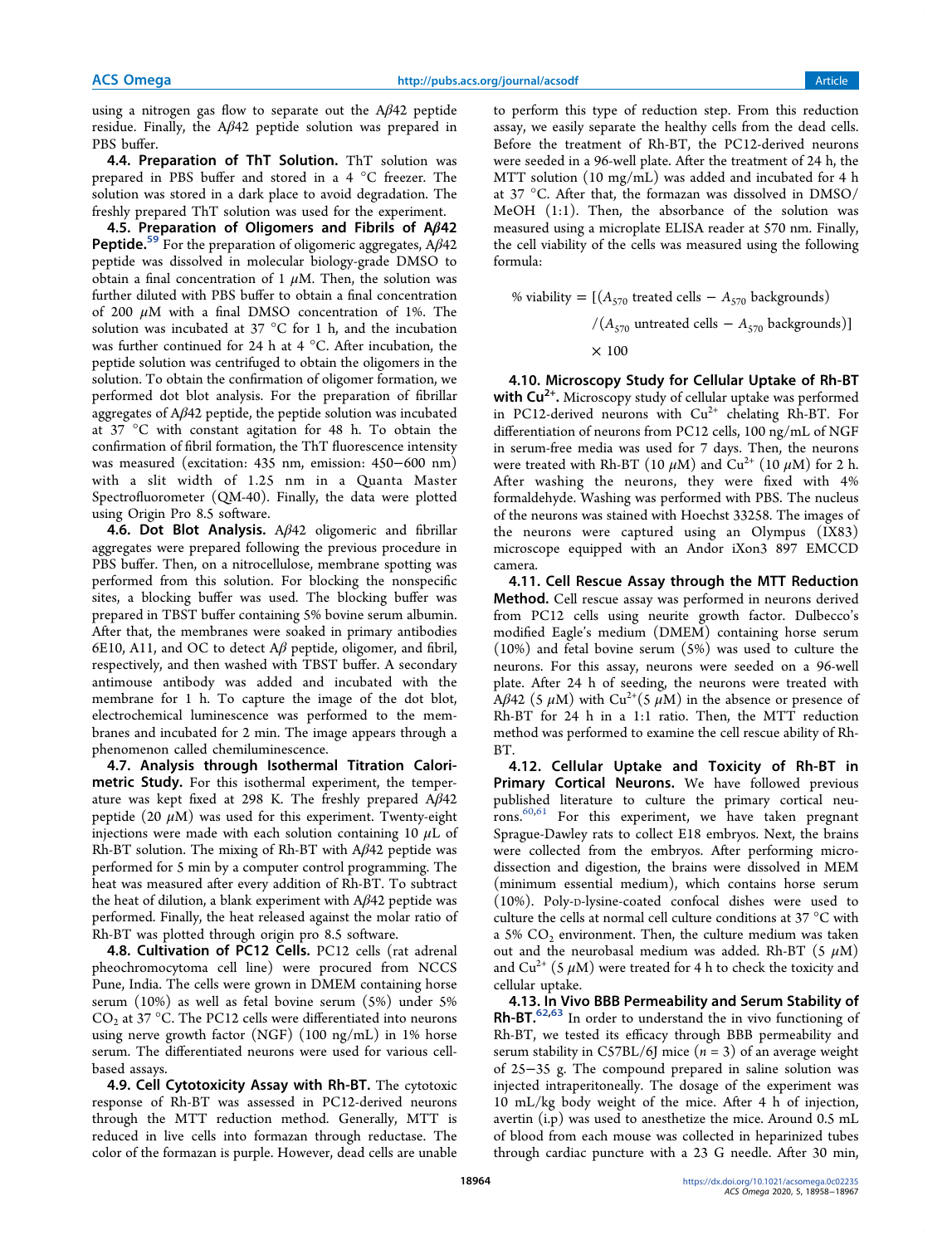using a nitrogen gas flow to separate out the  $A\beta$ 42 peptide residue. Finally, the Aβ42 peptide solution was prepared in PBS buffer.

4.4. Preparation of ThT Solution. ThT solution was prepared in PBS buffer and stored in a 4 °C freezer. The solution was stored in a dark place to avoid degradation. The freshly prepared ThT solution was used for the experiment.

4.5. Preparation of Oligomers and Fibrils of Aβ42 **Peptide.**<sup>59</sup> For the preparation of oligomeric aggregates,  $A\beta 42$ peptide was dissolved in molecular biology-grade DMSO to obtain a final concentration of 1  $\mu$ M. Then, the solution was further diluted with PBS buffer to obtain a final concentration of 200  $\mu$ M with a final DMSO concentration of 1%. The solution was incubated at 37 °C for 1 h, and the incubation was further continued for 24 h at 4 °C. After incubation, the peptide solution was centrifuged to obtain the oligomers in the solution. To obtain the confirmation of oligomer formation, we performed dot blot analysis. For the preparation of fibrillar aggregates of Aβ42 peptide, the peptide solution was incubated at 37 °C with constant agitation for 48 h. To obtain the confirmation of fibril formation, the ThT fluorescence intensity was measured (excitation: 435 nm, emission: 450−600 nm) with a slit width of 1.25 nm in a Quanta Master Spectrofluorometer (QM-40). Finally, the data were plotted using Origin Pro 8.5 software.

4.6. Dot Blot Analysis.  $A\beta$ 42 oligomeric and fibrillar aggregates were prepared following the previous procedure in PBS buffer. Then, on a nitrocellulose, membrane spotting was performed from this solution. For blocking the nonspecific sites, a blocking buffer was used. The blocking buffer was prepared in TBST buffer containing 5% bovine serum albumin. After that, the membranes were soaked in primary antibodies 6E10, A11, and OC to detect  $A\beta$  peptide, oligomer, and fibril, respectively, and then washed with TBST buffer. A secondary antimouse antibody was added and incubated with the membrane for 1 h. To capture the image of the dot blot, electrochemical luminescence was performed to the membranes and incubated for 2 min. The image appears through a phenomenon called chemiluminescence.

4.7. Analysis through Isothermal Titration Calorimetric Study. For this isothermal experiment, the temperature was kept fixed at 298 K. The freshly prepared  $A\beta$ 42 peptide (20  $\mu$ M) was used for this experiment. Twenty-eight injections were made with each solution containing 10  $\mu$ L of Rh-BT solution. The mixing of Rh-BT with Aβ42 peptide was performed for 5 min by a computer control programming. The heat was measured after every addition of Rh-BT. To subtract the heat of dilution, a blank experiment with  $A\beta$ 42 peptide was performed. Finally, the heat released against the molar ratio of Rh-BT was plotted through origin pro 8.5 software.

4.8. Cultivation of PC12 Cells. PC12 cells (rat adrenal pheochromocytoma cell line) were procured from NCCS Pune, India. The cells were grown in DMEM containing horse serum (10%) as well as fetal bovine serum (5%) under 5%  $CO<sub>2</sub>$  at 37 °C. The PC12 cells were differentiated into neurons using nerve growth factor (NGF) (100 ng/mL) in 1% horse serum. The differentiated neurons were used for various cellbased assays.

4.9. Cell Cytotoxicity Assay with Rh-BT. The cytotoxic response of Rh-BT was assessed in PC12-derived neurons through the MTT reduction method. Generally, MTT is reduced in live cells into formazan through reductase. The color of the formazan is purple. However, dead cells are unable

to perform this type of reduction step. From this reduction assay, we easily separate the healthy cells from the dead cells. Before the treatment of Rh-BT, the PC12-derived neurons were seeded in a 96-well plate. After the treatment of 24 h, the MTT solution (10 mg/mL) was added and incubated for 4 h at 37 °C. After that, the formazan was dissolved in DMSO/ MeOH (1:1). Then, the absorbance of the solution was measured using a microplate ELISA reader at 570 nm. Finally, the cell viability of the cells was measured using the following formula:

% viability =  $[(A<sub>570</sub> treated cells - A<sub>570</sub> backgrounds)$  $/(A_{570}$  untreated cells  $-A_{570}$  backgrounds)]  $\times$  100

4.10. Microscopy Study for Cellular Uptake of Rh-BT with Cu<sup>2+</sup>. Microscopy study of cellular uptake was performed in PC12-derived neurons with  $Cu^{2+}$  chelating Rh-BT. For differentiation of neurons from PC12 cells, 100 ng/mL of NGF in serum-free media was used for 7 days. Then, the neurons were treated with Rh-BT (10  $\mu{\rm M})$  and Cu $^{2+}$  (10  $\mu{\rm M})$  for 2 h. After washing the neurons, they were fixed with 4% formaldehyde. Washing was performed with PBS. The nucleus of the neurons was stained with Hoechst 33258. The images of the neurons were captured using an Olympus (IX83) microscope equipped with an Andor iXon3 897 EMCCD camera.

4.11. Cell Rescue Assay through the MTT Reduction Method. Cell rescue assay was performed in neurons derived from PC12 cells using neurite growth factor. Dulbecco's modified Eagle's medium (DMEM) containing horse serum (10%) and fetal bovine serum (5%) was used to culture the neurons. For this assay, neurons were seeded on a 96-well plate. After 24 h of seeding, the neurons were treated with Aβ42 (5  $\mu$ M) with Cu<sup>2+</sup>(5  $\mu$ M) in the absence or presence of Rh-BT for 24 h in a 1:1 ratio. Then, the MTT reduction method was performed to examine the cell rescue ability of Rh-BT.

4.12. Cellular Uptake and Toxicity of Rh-BT in Primary Cortical Neurons. We have followed previous published literature to culture the primary cortical neurons. 60,61 For this experiment, we have taken pregnant Sprague-Dawley rats to collect E18 embryos. Next, the brains were collected from the embryos. After performing microdissection and digestion, the brains were dissolved in MEM (minimum essential medium), which contains horse serum (10%). Poly-D-lysine-coated confocal dishes were used to culture the cells at normal cell culture conditions at 37 °C with a 5%  $CO<sub>2</sub>$  environment. Then, the culture medium was taken out and the neurobasal medium was added. Rh-BT (5  $\mu$ M) and  $Cu^{2+}$  (5  $\mu$ M) were treated for 4 h to check the toxicity and cellular uptake.

4.13. In Vivo BBB Permeability and Serum Stability of Rh-BT.<sup>62,63</sup> In order to understand the in vivo functioning of Rh-BT, we tested its efficacy through BBB permeability and serum stability in C57BL/6J mice  $(n = 3)$  of an average weight of 25−35 g. The compound prepared in saline solution was injected intraperitoneally. The dosage of the experiment was 10 mL/kg body weight of the mice. After 4 h of injection, avertin (i.p) was used to anesthetize the mice. Around 0.5 mL of blood from each mouse was collected in heparinized tubes through cardiac puncture with a 23 G needle. After 30 min,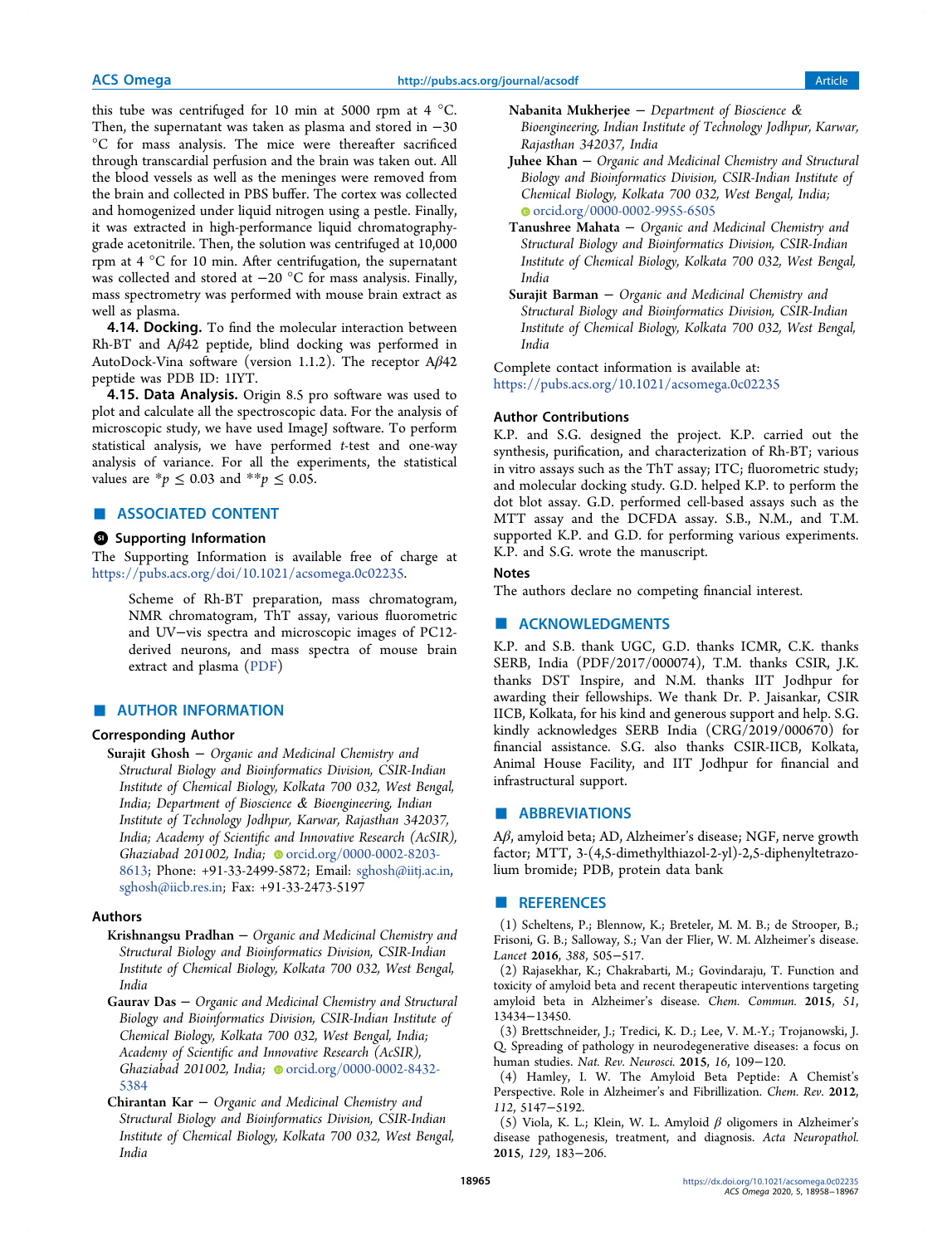this tube was centrifuged for 10 min at 5000 rpm at 4  $^{\circ}$ C. Then, the supernatant was taken as plasma and stored in −30 °C for mass analysis. The mice were thereafter sacrificed through transcardial perfusion and the brain was taken out. All the blood vessels as well as the meninges were removed from the brain and collected in PBS buffer. The cortex was collected and homogenized under liquid nitrogen using a pestle. Finally, it was extracted in high-performance liquid chromatographygrade acetonitrile. Then, the solution was centrifuged at 10,000 rpm at 4 °C for 10 min. After centrifugation, the supernatant was collected and stored at −20 °C for mass analysis. Finally, mass spectrometry was performed with mouse brain extract as well as plasma.

**4.14. Docking.** To find the molecular interaction between Rh-BT and Aβ42 peptide, blind docking was performed in AutoDock-Vina software (version 1.1.2). The receptor Aβ42 peptide was PDB ID: 1IYT.

4.15. Data Analysis. Origin 8.5 pro software was used to plot and calculate all the spectroscopic data. For the analysis of microscopic study, we have used ImageJ software. To perform statistical analysis, we have performed t-test and one-way analysis of variance. For all the experiments, the statistical values are \* $p ≤ 0.03$  and \*\* $p ≤ 0.05$ .

# ■ ASSOCIATED CONTENT

#### **6** Supporting Information

The Supporting Information is available free of charge at https://pubs.acs.org/doi/10.1021/acsomega.0c02235.

Scheme of Rh-BT preparation, mass chromatogram, NMR chromatogram, ThT assay, various fluorometric and UV−vis spectra and microscopic images of PC12 derived neurons, and mass spectra of mouse brain extract and plasma (PDF)

# **E** AUTHOR INFORMATION

## Corresponding Author

Surajit Ghosh − Organic and Medicinal Chemistry and Structural Biology and Bioinformatics Division, CSIR-Indian Institute of Chemical Biology, Kolkata 700 032, West Bengal, India; Department of Bioscience & Bioengineering, Indian Institute of Technology Jodhpur, Karwar, Rajasthan 342037, India; Academy of Scientific and Innovative Research (AcSIR), Ghaziabad 201002, India; orcid.org/0000-0002-8203-8613; Phone: +91-33-2499-5872; Email: sghosh@iitj.ac.in, sghosh@iicb.res.in; Fax: +91-33-2473-5197

## Authors

- Krishnangsu Pradhan − Organic and Medicinal Chemistry and Structural Biology and Bioinformatics Division, CSIR-Indian Institute of Chemical Biology, Kolkata 700 032, West Bengal, India
- Gaurav Das − Organic and Medicinal Chemistry and Structural Biology and Bioinformatics Division, CSIR-Indian Institute of Chemical Biology, Kolkata 700 032, West Bengal, India; Academy of Scientific and Innovative Research (AcSIR), Ghaziabad 201002, India; orcid.org/0000-0002-8432-5384
- Chirantan Kar − Organic and Medicinal Chemistry and Structural Biology and Bioinformatics Division, CSIR-Indian Institute of Chemical Biology, Kolkata 700 032, West Bengal, India
- Nabanita Mukherjee − Department of Bioscience & Bioengineering, Indian Institute of Technology Jodhpur, Karwar, Rajasthan 342037, India
- Juhee Khan − Organic and Medicinal Chemistry and Structural Biology and Bioinformatics Division, CSIR-Indian Institute of Chemical Biology, Kolkata 700 032, West Bengal, India; orcid.org/0000-0002-9955-6505
- Tanushree Mahata − Organic and Medicinal Chemistry and Structural Biology and Bioinformatics Division, CSIR-Indian Institute of Chemical Biology, Kolkata 700 032, West Bengal, India
- Surajit Barman − Organic and Medicinal Chemistry and Structural Biology and Bioinformatics Division, CSIR-Indian Institute of Chemical Biology, Kolkata 700 032, West Bengal, India

Complete contact information is available at: https://pubs.acs.org/10.1021/acsomega.0c02235

#### Author Contributions

K.P. and S.G. designed the project. K.P. carried out the synthesis, purification, and characterization of Rh-BT; various in vitro assays such as the ThT assay; ITC; fluorometric study; and molecular docking study. G.D. helped K.P. to perform the dot blot assay. G.D. performed cell-based assays such as the MTT assay and the DCFDA assay. S.B., N.M., and T.M. supported K.P. and G.D. for performing various experiments. K.P. and S.G. wrote the manuscript.

# Notes

The authors declare no competing financial interest.

#### ■ ACKNOWLEDGMENTS

K.P. and S.B. thank UGC, G.D. thanks ICMR, C.K. thanks SERB, India (PDF/2017/000074), T.M. thanks CSIR, J.K. thanks DST Inspire, and N.M. thanks IIT Jodhpur for awarding their fellowships. We thank Dr. P. Jaisankar, CSIR IICB, Kolkata, for his kind and generous support and help. S.G. kindly acknowledges SERB India (CRG/2019/000670) for financial assistance. S.G. also thanks CSIR-IICB, Kolkata, Animal House Facility, and IIT Jodhpur for financial and infrastructural support.

# ■ ABBREVIATIONS

Aβ, amyloid beta; AD, Alzheimer's disease; NGF, nerve growth factor; MTT, 3-(4,5-dimethylthiazol-2-yl)-2,5-diphenyltetrazolium bromide; PDB, protein data bank

#### **ENDERGERENCES**

(1) Scheltens, P.; Blennow, K.; Breteler, M. M. B.; de Strooper, B.; Frisoni, G. B.; Salloway, S.; Van der Flier, W. M. Alzheimer's disease. Lancet 2016, 388, 505−517.

(2) Rajasekhar, K.; Chakrabarti, M.; Govindaraju, T. Function and toxicity of amyloid beta and recent therapeutic interventions targeting amyloid beta in Alzheimer's disease. Chem. Commun. 2015, 51, 13434−13450.

(3) Brettschneider, J.; Tredici, K. D.; Lee, V. M.-Y.; Trojanowski, J. Q. Spreading of pathology in neurodegenerative diseases: a focus on human studies. Nat. Rev. Neurosci. 2015, 16, 109−120.

(4) Hamley, I. W. The Amyloid Beta Peptide: A Chemist's Perspective. Role in Alzheimer's and Fibrillization. Chem. Rev. 2012, 112, 5147−5192.

(5) Viola, K. L.; Klein, W. L. Amyloid β oligomers in Alzheimer's disease pathogenesis, treatment, and diagnosis. Acta Neuropathol. 2015, 129, 183−206.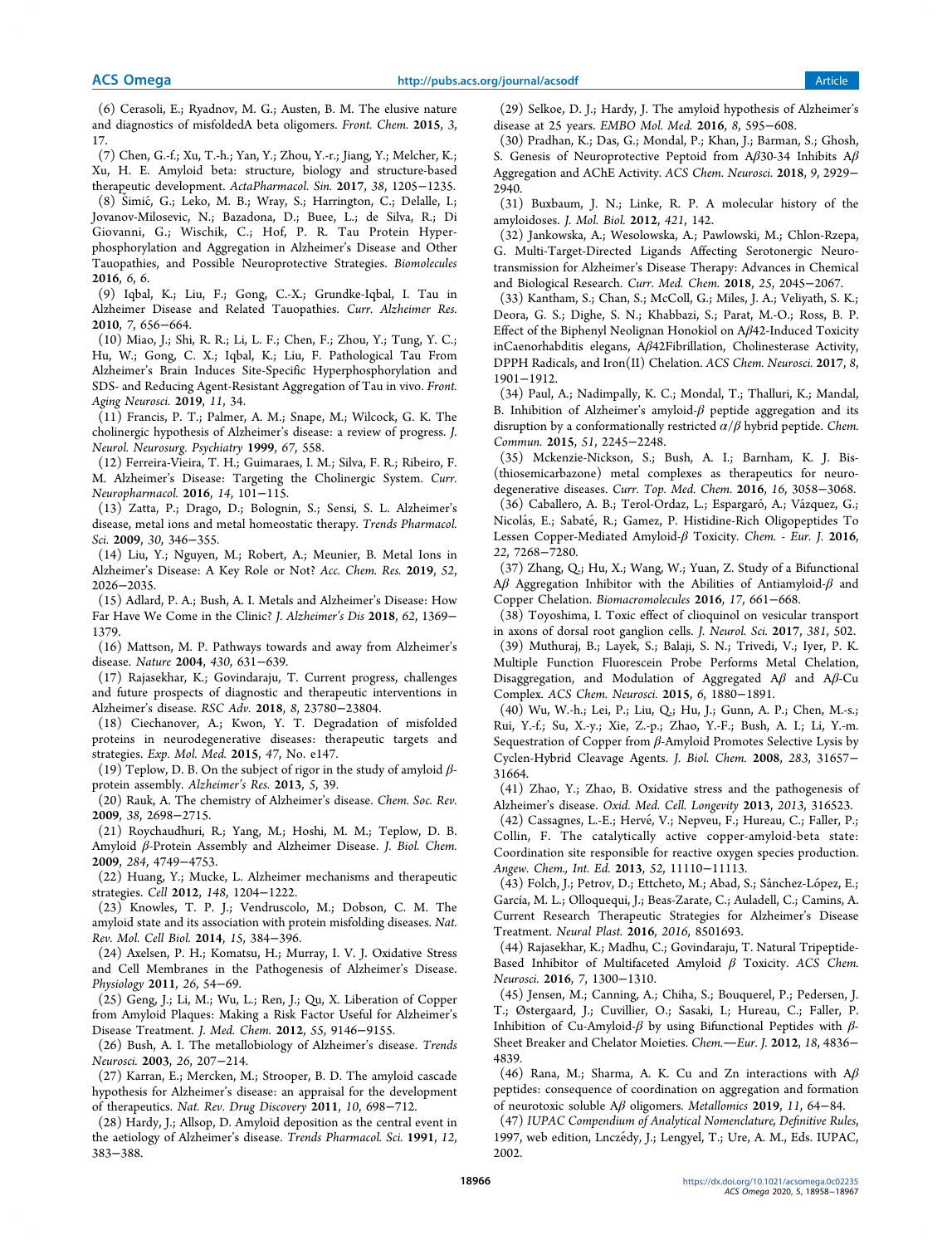(6) Cerasoli, E.; Ryadnov, M. G.; Austen, B. M. The elusive nature and diagnostics of misfoldedA beta oligomers. Front. Chem. 2015, 3, 17.

(7) Chen, G.-f.; Xu, T.-h.; Yan, Y.; Zhou, Y.-r.; Jiang, Y.; Melcher, K.; Xu, H. E. Amyloid beta: structure, biology and structure-based therapeutic development. ActaPharmacol. Sin. 2017, 38, 1205−1235.

(8) Š imic, G.; Leko, M. B.; Wray, S.; Harrington, C.; Delalle, I.; ́ Jovanov-Milosevic, N.; Bazadona, D.; Buee, L.; de Silva, R.; Di Giovanni, G.; Wischik, C.; Hof, P. R. Tau Protein Hyperphosphorylation and Aggregation in Alzheimer's Disease and Other Tauopathies, and Possible Neuroprotective Strategies. Biomolecules 2016, 6, 6.

(9) Iqbal, K.; Liu, F.; Gong, C.-X.; Grundke-Iqbal, I. Tau in Alzheimer Disease and Related Tauopathies. Curr. Alzheimer Res. 2010, 7, 656−664.

(10) Miao, J.; Shi, R. R.; Li, L. F.; Chen, F.; Zhou, Y.; Tung, Y. C.; Hu, W.; Gong, C. X.; Iqbal, K.; Liu, F. Pathological Tau From Alzheimer's Brain Induces Site-Specific Hyperphosphorylation and SDS- and Reducing Agent-Resistant Aggregation of Tau in vivo. Front. Aging Neurosci. 2019, 11, 34.

(11) Francis, P. T.; Palmer, A. M.; Snape, M.; Wilcock, G. K. The cholinergic hypothesis of Alzheimer's disease: a review of progress. J. Neurol. Neurosurg. Psychiatry 1999, 67, 558.

(12) Ferreira-Vieira, T. H.; Guimaraes, I. M.; Silva, F. R.; Ribeiro, F. M. Alzheimer's Disease: Targeting the Cholinergic System. Curr. Neuropharmacol. 2016, 14, 101−115.

(13) Zatta, P.; Drago, D.; Bolognin, S.; Sensi, S. L. Alzheimer's disease, metal ions and metal homeostatic therapy. Trends Pharmacol. Sci. 2009, 30, 346−355.

(14) Liu, Y.; Nguyen, M.; Robert, A.; Meunier, B. Metal Ions in Alzheimer's Disease: A Key Role or Not? Acc. Chem. Res. 2019, 52, 2026−2035.

(15) Adlard, P. A.; Bush, A. I. Metals and Alzheimer's Disease: How Far Have We Come in the Clinic? J. Alzheimer's Dis 2018, 62, 1369− 1379.

(16) Mattson, M. P. Pathways towards and away from Alzheimer's disease. Nature 2004, 430, 631−639.

(17) Rajasekhar, K.; Govindaraju, T. Current progress, challenges and future prospects of diagnostic and therapeutic interventions in Alzheimer's disease. RSC Adv. 2018, 8, 23780−23804.

(18) Ciechanover, A.; Kwon, Y. T. Degradation of misfolded proteins in neurodegenerative diseases: therapeutic targets and strategies. Exp. Mol. Med. 2015, 47, No. e147.

(19) Teplow, D. B. On the subject of rigor in the study of amyloid  $\beta$ protein assembly. Alzheimer's Res. 2013, 5, 39.

(20) Rauk, A. The chemistry of Alzheimer's disease. Chem. Soc. Rev. 2009, 38, 2698−2715.

(21) Roychaudhuri, R.; Yang, M.; Hoshi, M. M.; Teplow, D. B. Amyloid β-Protein Assembly and Alzheimer Disease. J. Biol. Chem. 2009, 284, 4749−4753.

(22) Huang, Y.; Mucke, L. Alzheimer mechanisms and therapeutic strategies. Cell 2012, 148, 1204−1222.

(23) Knowles, T. P. J.; Vendruscolo, M.; Dobson, C. M. The amyloid state and its association with protein misfolding diseases. Nat. Rev. Mol. Cell Biol. 2014, 15, 384−396.

(24) Axelsen, P. H.; Komatsu, H.; Murray, I. V. J. Oxidative Stress and Cell Membranes in the Pathogenesis of Alzheimer's Disease. Physiology 2011, 26, 54−69.

(25) Geng, J.; Li, M.; Wu, L.; Ren, J.; Qu, X. Liberation of Copper from Amyloid Plaques: Making a Risk Factor Useful for Alzheimer's Disease Treatment. J. Med. Chem. 2012, 55, 9146−9155.

(26) Bush, A. I. The metallobiology of Alzheimer's disease. Trends Neurosci. 2003, 26, 207−214.

(27) Karran, E.; Mercken, M.; Strooper, B. D. The amyloid cascade hypothesis for Alzheimer's disease: an appraisal for the development of therapeutics. Nat. Rev. Drug Discovery 2011, 10, 698−712.

(28) Hardy, J.; Allsop, D. Amyloid deposition as the central event in the aetiology of Alzheimer's disease. Trends Pharmacol. Sci. 1991, 12, 383−388.

(29) Selkoe, D. J.; Hardy, J. The amyloid hypothesis of Alzheimer's disease at 25 years. EMBO Mol. Med. 2016, 8, 595−608.

(30) Pradhan, K.; Das, G.; Mondal, P.; Khan, J.; Barman, S.; Ghosh, S. Genesis of Neuroprotective Peptoid from Aβ30-34 Inhibits Aβ Aggregation and AChE Activity. ACS Chem. Neurosci. 2018, 9, 2929− 2940.

(31) Buxbaum, J. N.; Linke, R. P. A molecular history of the amyloidoses. J. Mol. Biol. 2012, 421, 142.

(32) Jankowska, A.; Wesolowska, A.; Pawlowski, M.; Chlon-Rzepa, G. Multi-Target-Directed Ligands Affecting Serotonergic Neurotransmission for Alzheimer's Disease Therapy: Advances in Chemical and Biological Research. Curr. Med. Chem. 2018, 25, 2045−2067.

(33) Kantham, S.; Chan, S.; McColl, G.; Miles, J. A.; Veliyath, S. K.; Deora, G. S.; Dighe, S. N.; Khabbazi, S.; Parat, M.-O.; Ross, B. P. Effect of the Biphenyl Neolignan Honokiol on Aβ42-Induced Toxicity inCaenorhabditis elegans, Aβ42Fibrillation, Cholinesterase Activity, DPPH Radicals, and Iron(II) Chelation. ACS Chem. Neurosci. 2017, 8, 1901−1912.

(34) Paul, A.; Nadimpally, K. C.; Mondal, T.; Thalluri, K.; Mandal, B. Inhibition of Alzheimer's amyloid- $\beta$  peptide aggregation and its disruption by a conformationally restricted  $\alpha/\beta$  hybrid peptide. Chem. Commun. 2015, 51, 2245−2248.

(35) Mckenzie-Nickson, S.; Bush, A. I.; Barnham, K. J. Bis- (thiosemicarbazone) metal complexes as therapeutics for neurodegenerative diseases. Curr. Top. Med. Chem. 2016, 16, 3058−3068.

(36) Caballero, A. B.; Terol-Ordaz, L.; Espargaró, A.; Vázquez, G.; Nicolás, E.; Sabaté, R.; Gamez, P. Histidine-Rich Oligopeptides To Lessen Copper-Mediated Amyloid-β Toxicity. Chem. - Eur. J. 2016, 22, 7268−7280.

(37) Zhang, Q.; Hu, X.; Wang, W.; Yuan, Z. Study of a Bifunctional Aβ Aggregation Inhibitor with the Abilities of Antiamyloid- $β$  and Copper Chelation. Biomacromolecules 2016, 17, 661−668.

(38) Toyoshima, I. Toxic effect of clioquinol on vesicular transport in axons of dorsal root ganglion cells. J. Neurol. Sci. 2017, 381, 502.

(39) Muthuraj, B.; Layek, S.; Balaji, S. N.; Trivedi, V.; Iyer, P. K. Multiple Function Fluorescein Probe Performs Metal Chelation, Disaggregation, and Modulation of Aggregated  $A\beta$  and  $A\beta$ -Cu Complex. ACS Chem. Neurosci. 2015, 6, 1880−1891.

(40) Wu, W.-h.; Lei, P.; Liu, Q.; Hu, J.; Gunn, A. P.; Chen, M.-s.; Rui, Y.-f.; Su, X.-y.; Xie, Z.-p.; Zhao, Y.-F.; Bush, A. I.; Li, Y.-m. Sequestration of Copper from β-Amyloid Promotes Selective Lysis by Cyclen-Hybrid Cleavage Agents. J. Biol. Chem. 2008, 283, 31657− 31664.

(41) Zhao, Y.; Zhao, B. Oxidative stress and the pathogenesis of Alzheimer's disease. Oxid. Med. Cell. Longevity 2013, 2013, 316523.

(42) Cassagnes, L.-E.; Hervé, V.; Nepveu, F.; Hureau, C.; Faller, P.; Collin, F. The catalytically active copper-amyloid-beta state: Coordination site responsible for reactive oxygen species production. Angew. Chem., Int. Ed. 2013, 52, 11110−11113.

(43) Folch, J.; Petrov, D.; Ettcheto, M.; Abad, S.; Sánchez-López, E.; García, M. L.; Olloquequi, J.; Beas-Zarate, C.; Auladell, C.; Camins, A. Current Research Therapeutic Strategies for Alzheimer's Disease Treatment. Neural Plast. 2016, 2016, 8501693.

(44) Rajasekhar, K.; Madhu, C.; Govindaraju, T. Natural Tripeptide-Based Inhibitor of Multifaceted Amyloid β Toxicity. ACS Chem. Neurosci. 2016, 7, 1300−1310.

(45) Jensen, M.; Canning, A.; Chiha, S.; Bouquerel, P.; Pedersen, J. T.; Østergaard, J.; Cuvillier, O.; Sasaki, I.; Hureau, C.; Faller, P. Inhibition of Cu-Amyloid-β by using Bifunctional Peptides with β-Sheet Breaker and Chelator Moieties. Chem.-Eur. J. 2012, 18, 4836-4839.

(46) Rana, M.; Sharma, A. K. Cu and Zn interactions with  $A\beta$ peptides: consequence of coordination on aggregation and formation of neurotoxic soluble Aβ oligomers. Metallomics 2019, 11, 64−84.

(47) IUPAC Compendium of Analytical Nomenclature, Definitive Rules, 1997, web edition, Lnczédy, J.; Lengyel, T.; Ure, A. M., Eds. IUPAC, 2002.